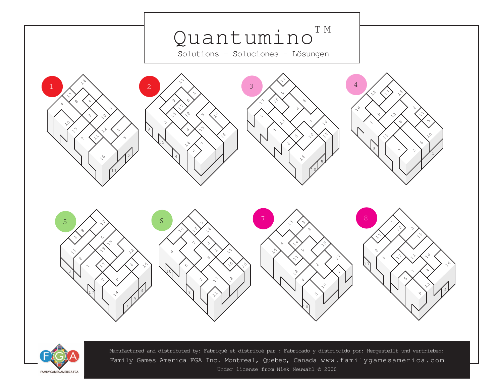



Manufactured and distributed by: Fabriqué et distribué par : Fabricado y distribuido por: Hergestellt und vertrieben: Family Games America FGA Inc. Montreal, Quebec, Canada www.familygamesamerica.com Under license from Niek Neuwahl © 2000